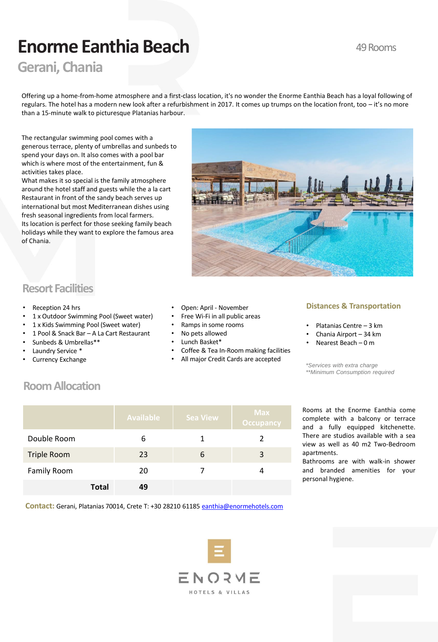# **Enorme Eanthia Beach**

## **Gerani, Chania**

Offering up a home-from-home atmosphere and a first-class location, it's no wonder the Enorme Eanthia Beach has a loyal following of regulars. The hotel has a modern new look after a refurbishment in 2017. It comes up trumps on the location front, too – it's no more than a 15-minute walk to picturesque Platanias harbour.

The rectangular swimming pool comes with a generous terrace, plenty of umbrellas and sunbeds to spend your days on. It also comes with a pool bar which is where most of the entertainment, fun & activities takes place.

What makes it so special is the family atmosphere around the hotel staff and guests while the a la cart Restaurant in front of the sandy beach serves up international but most Mediterranean dishes using fresh seasonal ingredients from local farmers. Its location is perfect for those seeking family beach holidays while they want to explore the famous area of Chania.



## **Resort Facilities**

- Reception 24 hrs
- 1 x Outdoor Swimming Pool (Sweet water)
- 1 x Kids Swimming Pool (Sweet water)
- 1 Pool & Snack Bar A La Cart Restaurant
- Sunbeds & Umbrellas\*\*
- Laundry Service \*
- Currency Exchange
- Open: April November
- Free Wi-Fi in all public areas
- Ramps in some rooms
- No pets allowed
- Lunch Basket\*
- Coffee & Tea In-Room making facilities
- All major Credit Cards are accepted

### **Distances & Transportation**

- Platanias Centre 3 km
- Chania Airport 34 km
- Nearest Beach 0 m
- 

*\*Services with extra charge \*\*Minimum Consumption required* 

## **Room Allocation**

|                    |              | <b>Available</b> | <b>Sea View</b> | <b>Max</b><br><b>Occupancy</b> |
|--------------------|--------------|------------------|-----------------|--------------------------------|
| Double Room        |              | 6                |                 | 2                              |
| <b>Triple Room</b> |              | 23               | 6               | 3                              |
| <b>Family Room</b> |              | 20               |                 |                                |
|                    | <b>Total</b> | 49               |                 |                                |

Rooms at the Enorme Eanthia come complete with a balcony or terrace and a fully equipped kitchenette. There are studios available with a sea view as well as 40 m2 Two-Bedroom apartments.

Bathrooms are with walk-in shower and branded amenities for your personal hygiene.

**Contact:** Gerani, Platanias 70014, Crete T: +30 28210 61185 [eanthia@enormehotels.com](mailto:eanthia@enormehotels.com)



## 49 Rooms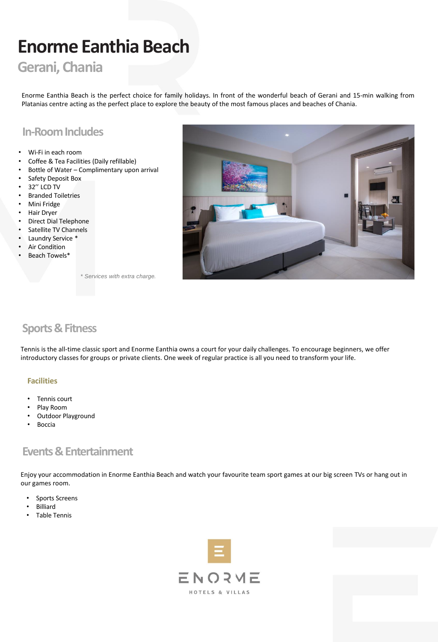# **Enorme Eanthia Beach**

## **Gerani, Chania**

Enorme Eanthia Beach is the perfect choice for family holidays. In front of the wonderful beach of Gerani and 15-min walking from Platanias centre acting as the perfect place to explore the beauty of the most famous places and beaches of Chania.

## **In-Room Includes**

- Wi-Fi in each room
- Coffee & Tea Facilities (Daily refillable)
- Bottle of Water Complimentary upon arrival
- Safety Deposit Box
- 32'' LCD TV
- Branded Toiletries
- Mini Fridge
- Hair Dryer
- Direct Dial Telephone
- Satellite TV Channels
- Laundry Service \*
- **Air Condition**
- Beach Towels\*



*\* Services with extra charge.*

## **Sports & Fitness**

Tennis is the all-time classic sport and Enorme Eanthia owns a court for your daily challenges. To encourage beginners, we offer introductory classes for groups or private clients. One week of regular practice is all you need to transform your life.

### **Facilities**

- Tennis court
- Play Room
- Outdoor Playground
- **Boccia**

## **Events & Entertainment**

Enjoy your accommodation in Enorme Eanthia Beach and watch your favourite team sport games at our big screen TVs or hang out in our games room.

- Sports Screens
- Billiard
- Table Tennis